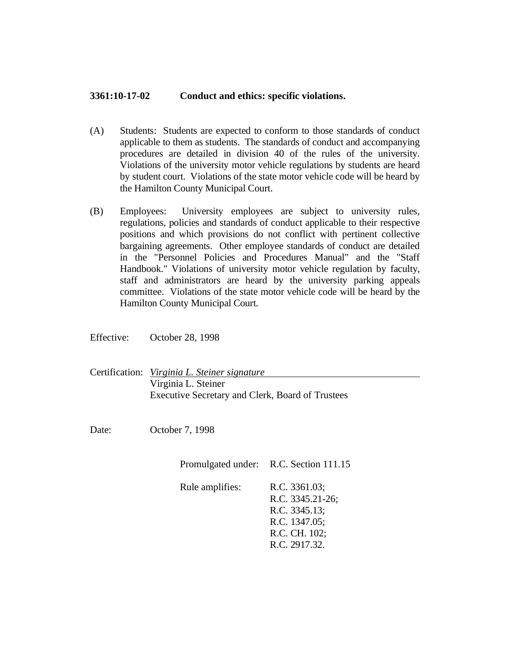## **3361:10-17-02 Conduct and ethics: specific violations.**

- (A) Students: Students are expected to conform to those standards of conduct applicable to them as students. The standards of conduct and accompanying procedures are detailed in division 40 of the rules of the university. Violations of the university motor vehicle regulations by students are heard by student court. Violations of the state motor vehicle code will be heard by the Hamilton County Municipal Court.
- (B) Employees: University employees are subject to university rules, regulations, policies and standards of conduct applicable to their respective positions and which provisions do not conflict with pertinent collective bargaining agreements. Other employee standards of conduct are detailed in the "Personnel Policies and Procedures Manual" and the "Staff Handbook." Violations of university motor vehicle regulation by faculty, staff and administrators are heard by the university parking appeals committee. Violations of the state motor vehicle code will be heard by the Hamilton County Municipal Court.

Effective: October 28, 1998

| Certification: Virginia L. Steiner signature     |
|--------------------------------------------------|
| Virginia L. Steiner                              |
| Executive Secretary and Clerk, Board of Trustees |

Date: October 7, 1998

Promulgated under: R.C. Section 111.15

Rule amplifies: R.C. 3361.03; R.C. 3345.21-26; R.C. 3345.13; R.C. 1347.05; R.C. CH. 102; R.C. 2917.32.